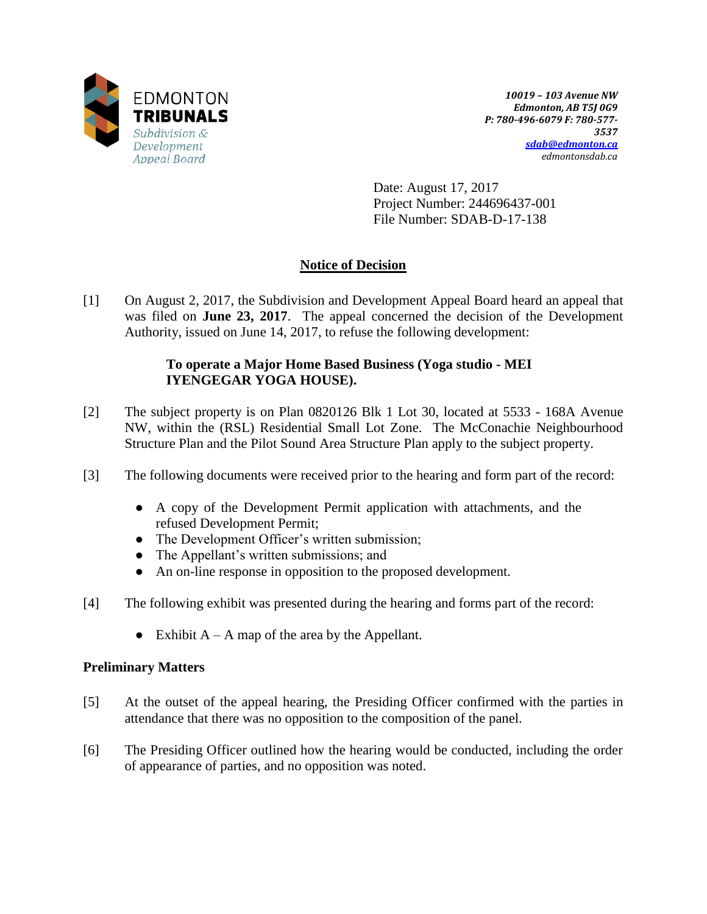

*10019 – 103 Avenue NW Edmonton, AB T5J 0G9 P: 780-496-6079 F: 780-577- 3537 [sdab@edmonton.ca](mailto:sdab@edmonton.ca) edmontonsdab.ca*

Date: August 17, 2017 Project Number: 244696437-001 File Number: SDAB-D-17-138

# **Notice of Decision**

[1] On August 2, 2017, the Subdivision and Development Appeal Board heard an appeal that was filed on **June 23, 2017**. The appeal concerned the decision of the Development Authority, issued on June 14, 2017, to refuse the following development:

# **To operate a Major Home Based Business (Yoga studio - MEI IYENGEGAR YOGA HOUSE).**

- [2] The subject property is on Plan 0820126 Blk 1 Lot 30, located at 5533 168A Avenue NW, within the (RSL) Residential Small Lot Zone. The McConachie Neighbourhood Structure Plan and the Pilot Sound Area Structure Plan apply to the subject property.
- [3] The following documents were received prior to the hearing and form part of the record:
	- A copy of the Development Permit application with attachments, and the refused Development Permit;
	- The Development Officer's written submission;
	- The Appellant's written submissions; and
	- An on-line response in opposition to the proposed development.
- [4] The following exhibit was presented during the hearing and forms part of the record:
	- Exhibit  $A A$  map of the area by the Appellant.

# **Preliminary Matters**

- [5] At the outset of the appeal hearing, the Presiding Officer confirmed with the parties in attendance that there was no opposition to the composition of the panel.
- [6] The Presiding Officer outlined how the hearing would be conducted, including the order of appearance of parties, and no opposition was noted.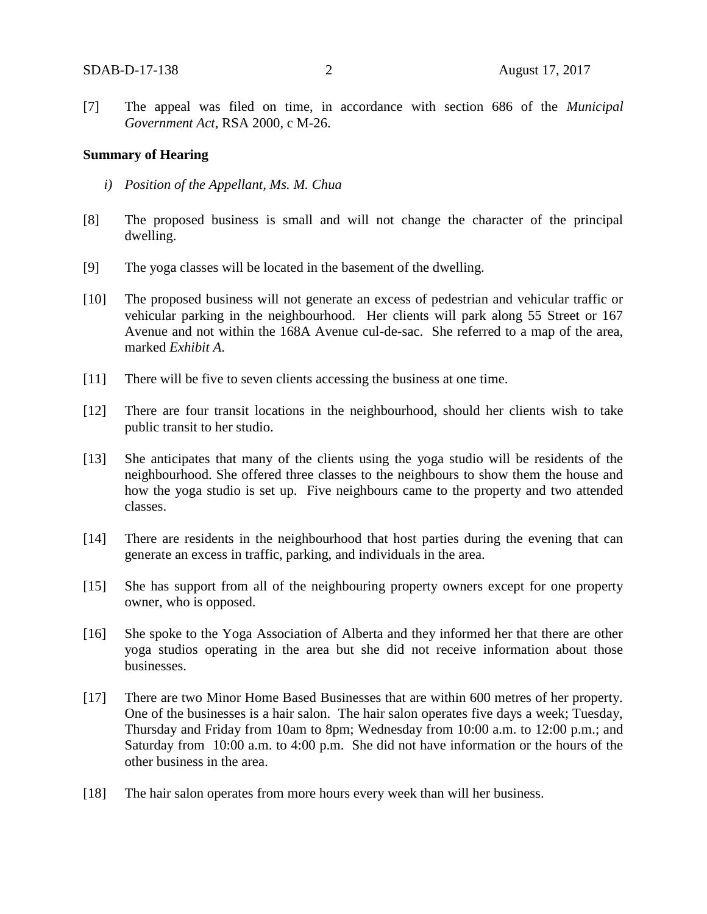[7] The appeal was filed on time, in accordance with section 686 of the *Municipal Government Act*, RSA 2000, c M-26.

#### **Summary of Hearing**

- *i) Position of the Appellant, Ms. M. Chua*
- [8] The proposed business is small and will not change the character of the principal dwelling.
- [9] The yoga classes will be located in the basement of the dwelling.
- [10] The proposed business will not generate an excess of pedestrian and vehicular traffic or vehicular parking in the neighbourhood. Her clients will park along 55 Street or 167 Avenue and not within the 168A Avenue cul-de-sac. She referred to a map of the area, marked *Exhibit A*.
- [11] There will be five to seven clients accessing the business at one time.
- [12] There are four transit locations in the neighbourhood, should her clients wish to take public transit to her studio.
- [13] She anticipates that many of the clients using the yoga studio will be residents of the neighbourhood. She offered three classes to the neighbours to show them the house and how the yoga studio is set up. Five neighbours came to the property and two attended classes.
- [14] There are residents in the neighbourhood that host parties during the evening that can generate an excess in traffic, parking, and individuals in the area.
- [15] She has support from all of the neighbouring property owners except for one property owner, who is opposed.
- [16] She spoke to the Yoga Association of Alberta and they informed her that there are other yoga studios operating in the area but she did not receive information about those businesses.
- [17] There are two Minor Home Based Businesses that are within 600 metres of her property. One of the businesses is a hair salon. The hair salon operates five days a week; Tuesday, Thursday and Friday from 10am to 8pm; Wednesday from 10:00 a.m. to 12:00 p.m.; and Saturday from 10:00 a.m. to 4:00 p.m. She did not have information or the hours of the other business in the area.
- [18] The hair salon operates from more hours every week than will her business.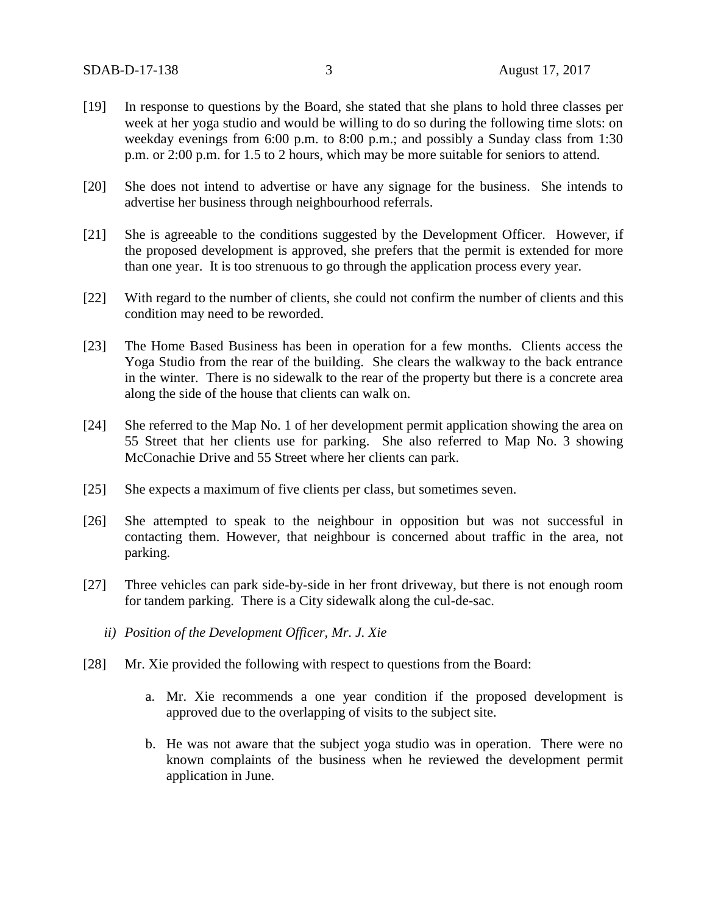- [19] In response to questions by the Board, she stated that she plans to hold three classes per week at her yoga studio and would be willing to do so during the following time slots: on weekday evenings from 6:00 p.m. to 8:00 p.m.; and possibly a Sunday class from 1:30 p.m. or 2:00 p.m. for 1.5 to 2 hours, which may be more suitable for seniors to attend.
- [20] She does not intend to advertise or have any signage for the business. She intends to advertise her business through neighbourhood referrals.
- [21] She is agreeable to the conditions suggested by the Development Officer. However, if the proposed development is approved, she prefers that the permit is extended for more than one year. It is too strenuous to go through the application process every year.
- [22] With regard to the number of clients, she could not confirm the number of clients and this condition may need to be reworded.
- [23] The Home Based Business has been in operation for a few months. Clients access the Yoga Studio from the rear of the building. She clears the walkway to the back entrance in the winter. There is no sidewalk to the rear of the property but there is a concrete area along the side of the house that clients can walk on.
- [24] She referred to the Map No. 1 of her development permit application showing the area on 55 Street that her clients use for parking. She also referred to Map No. 3 showing McConachie Drive and 55 Street where her clients can park.
- [25] She expects a maximum of five clients per class, but sometimes seven.
- [26] She attempted to speak to the neighbour in opposition but was not successful in contacting them. However, that neighbour is concerned about traffic in the area, not parking.
- [27] Three vehicles can park side-by-side in her front driveway, but there is not enough room for tandem parking. There is a City sidewalk along the cul-de-sac.
	- *ii) Position of the Development Officer, Mr. J. Xie*
- [28] Mr. Xie provided the following with respect to questions from the Board:
	- a. Mr. Xie recommends a one year condition if the proposed development is approved due to the overlapping of visits to the subject site.
	- b. He was not aware that the subject yoga studio was in operation. There were no known complaints of the business when he reviewed the development permit application in June.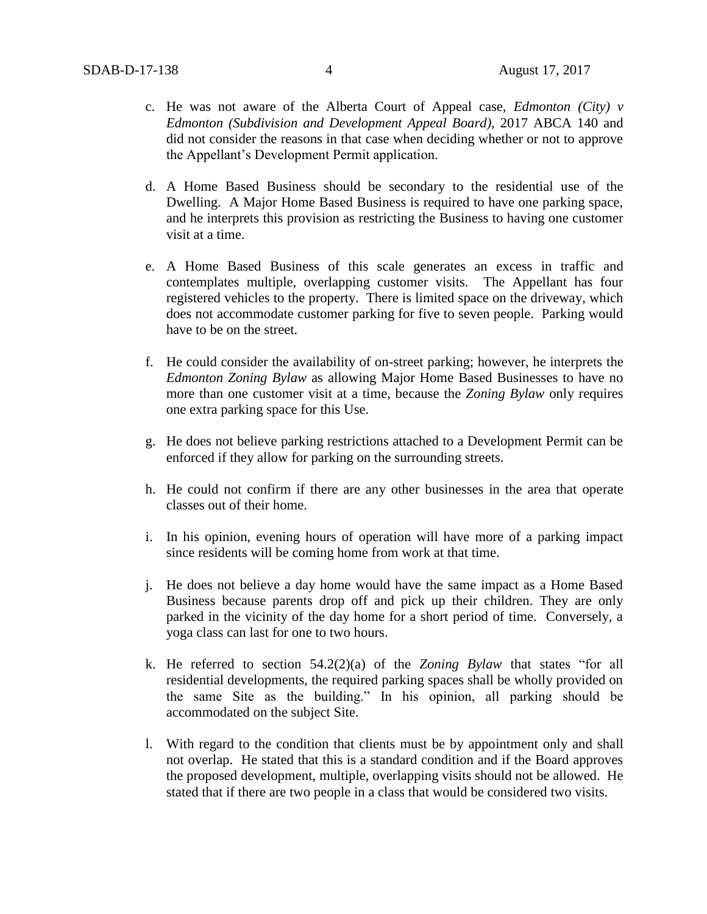- c. He was not aware of the Alberta Court of Appeal case, *Edmonton (City) v Edmonton (Subdivision and Development Appeal Board),* 2017 ABCA 140 and did not consider the reasons in that case when deciding whether or not to approve the Appellant's Development Permit application.
- d. A Home Based Business should be secondary to the residential use of the Dwelling. A Major Home Based Business is required to have one parking space, and he interprets this provision as restricting the Business to having one customer visit at a time.
- e. A Home Based Business of this scale generates an excess in traffic and contemplates multiple, overlapping customer visits. The Appellant has four registered vehicles to the property. There is limited space on the driveway, which does not accommodate customer parking for five to seven people. Parking would have to be on the street.
- f. He could consider the availability of on-street parking; however, he interprets the *Edmonton Zoning Bylaw* as allowing Major Home Based Businesses to have no more than one customer visit at a time, because the *Zoning Bylaw* only requires one extra parking space for this Use.
- g. He does not believe parking restrictions attached to a Development Permit can be enforced if they allow for parking on the surrounding streets.
- h. He could not confirm if there are any other businesses in the area that operate classes out of their home.
- i. In his opinion, evening hours of operation will have more of a parking impact since residents will be coming home from work at that time.
- j. He does not believe a day home would have the same impact as a Home Based Business because parents drop off and pick up their children. They are only parked in the vicinity of the day home for a short period of time. Conversely, a yoga class can last for one to two hours.
- k. He referred to section 54.2(2)(a) of the *Zoning Bylaw* that states "for all residential developments, the required parking spaces shall be wholly provided on the same Site as the building." In his opinion, all parking should be accommodated on the subject Site.
- l. With regard to the condition that clients must be by appointment only and shall not overlap. He stated that this is a standard condition and if the Board approves the proposed development, multiple, overlapping visits should not be allowed. He stated that if there are two people in a class that would be considered two visits.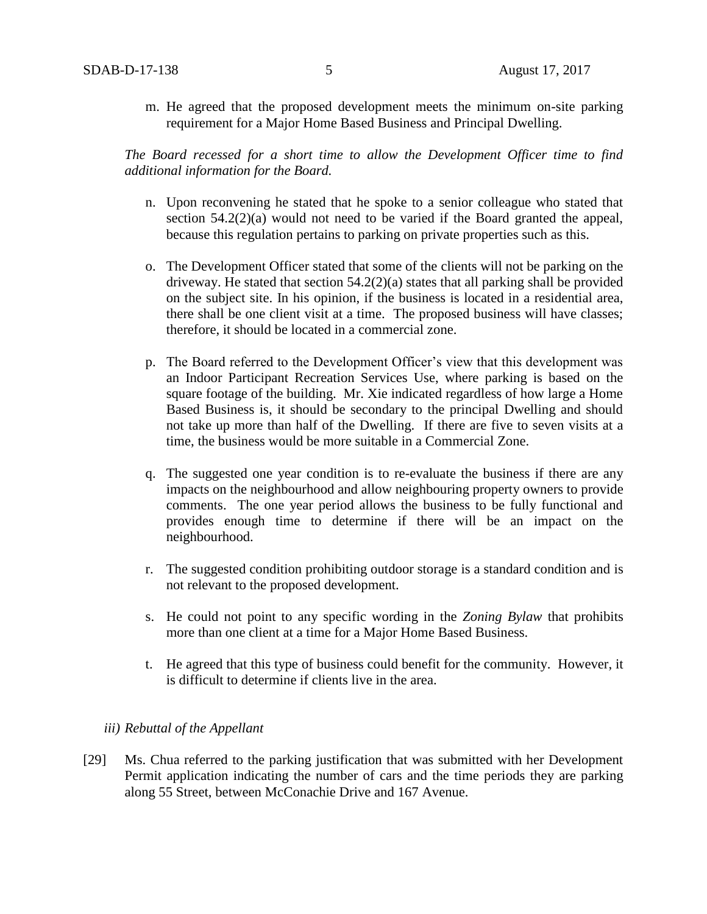m. He agreed that the proposed development meets the minimum on-site parking requirement for a Major Home Based Business and Principal Dwelling.

*The Board recessed for a short time to allow the Development Officer time to find additional information for the Board.* 

- n. Upon reconvening he stated that he spoke to a senior colleague who stated that section 54.2(2)(a) would not need to be varied if the Board granted the appeal, because this regulation pertains to parking on private properties such as this.
- o. The Development Officer stated that some of the clients will not be parking on the driveway. He stated that section 54.2(2)(a) states that all parking shall be provided on the subject site. In his opinion, if the business is located in a residential area, there shall be one client visit at a time. The proposed business will have classes; therefore, it should be located in a commercial zone.
- p. The Board referred to the Development Officer's view that this development was an Indoor Participant Recreation Services Use, where parking is based on the square footage of the building. Mr. Xie indicated regardless of how large a Home Based Business is, it should be secondary to the principal Dwelling and should not take up more than half of the Dwelling. If there are five to seven visits at a time, the business would be more suitable in a Commercial Zone.
- q. The suggested one year condition is to re-evaluate the business if there are any impacts on the neighbourhood and allow neighbouring property owners to provide comments. The one year period allows the business to be fully functional and provides enough time to determine if there will be an impact on the neighbourhood.
- r. The suggested condition prohibiting outdoor storage is a standard condition and is not relevant to the proposed development.
- s. He could not point to any specific wording in the *Zoning Bylaw* that prohibits more than one client at a time for a Major Home Based Business.
- t. He agreed that this type of business could benefit for the community. However, it is difficult to determine if clients live in the area.

### *iii) Rebuttal of the Appellant*

[29] Ms. Chua referred to the parking justification that was submitted with her Development Permit application indicating the number of cars and the time periods they are parking along 55 Street, between McConachie Drive and 167 Avenue.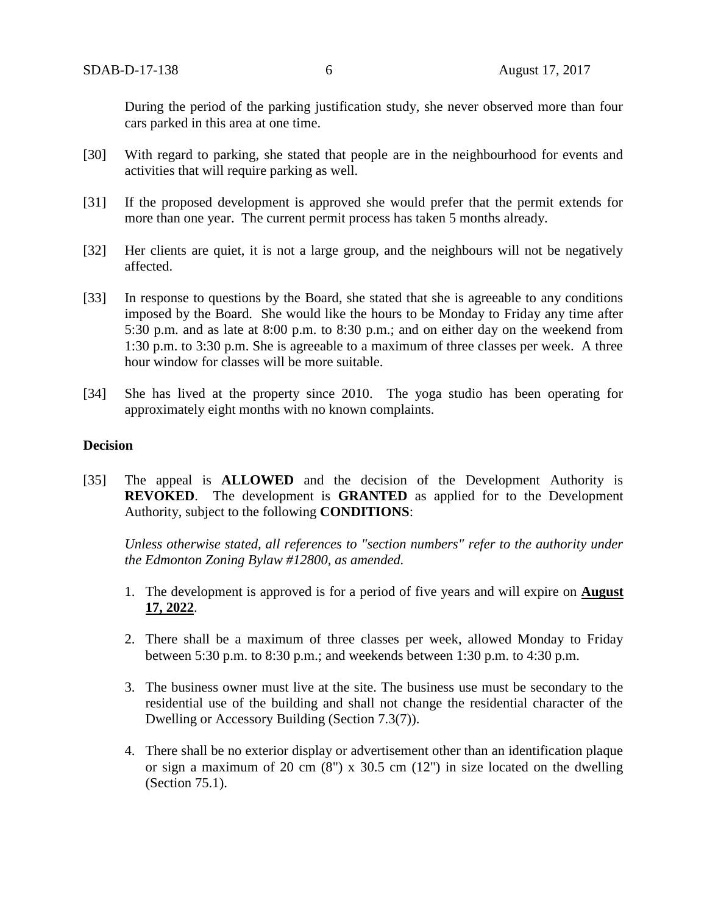During the period of the parking justification study, she never observed more than four cars parked in this area at one time.

- [30] With regard to parking, she stated that people are in the neighbourhood for events and activities that will require parking as well.
- [31] If the proposed development is approved she would prefer that the permit extends for more than one year. The current permit process has taken 5 months already.
- [32] Her clients are quiet, it is not a large group, and the neighbours will not be negatively affected.
- [33] In response to questions by the Board, she stated that she is agreeable to any conditions imposed by the Board. She would like the hours to be Monday to Friday any time after 5:30 p.m. and as late at 8:00 p.m. to 8:30 p.m.; and on either day on the weekend from 1:30 p.m. to 3:30 p.m. She is agreeable to a maximum of three classes per week. A three hour window for classes will be more suitable.
- [34] She has lived at the property since 2010. The yoga studio has been operating for approximately eight months with no known complaints.

## **Decision**

[35] The appeal is **ALLOWED** and the decision of the Development Authority is **REVOKED**. The development is **GRANTED** as applied for to the Development Authority, subject to the following **CONDITIONS**:

*Unless otherwise stated, all references to "section numbers" refer to the authority under the Edmonton Zoning Bylaw #12800, as amended.*

- 1. The development is approved is for a period of five years and will expire on **August 17, 2022**.
- 2. There shall be a maximum of three classes per week, allowed Monday to Friday between 5:30 p.m. to 8:30 p.m.; and weekends between 1:30 p.m. to 4:30 p.m.
- 3. The business owner must live at the site. The business use must be secondary to the residential use of the building and shall not change the residential character of the Dwelling or Accessory Building (Section 7.3(7)).
- 4. There shall be no exterior display or advertisement other than an identification plaque or sign a maximum of 20 cm  $(8)$  x 30.5 cm  $(12)$  in size located on the dwelling (Section 75.1).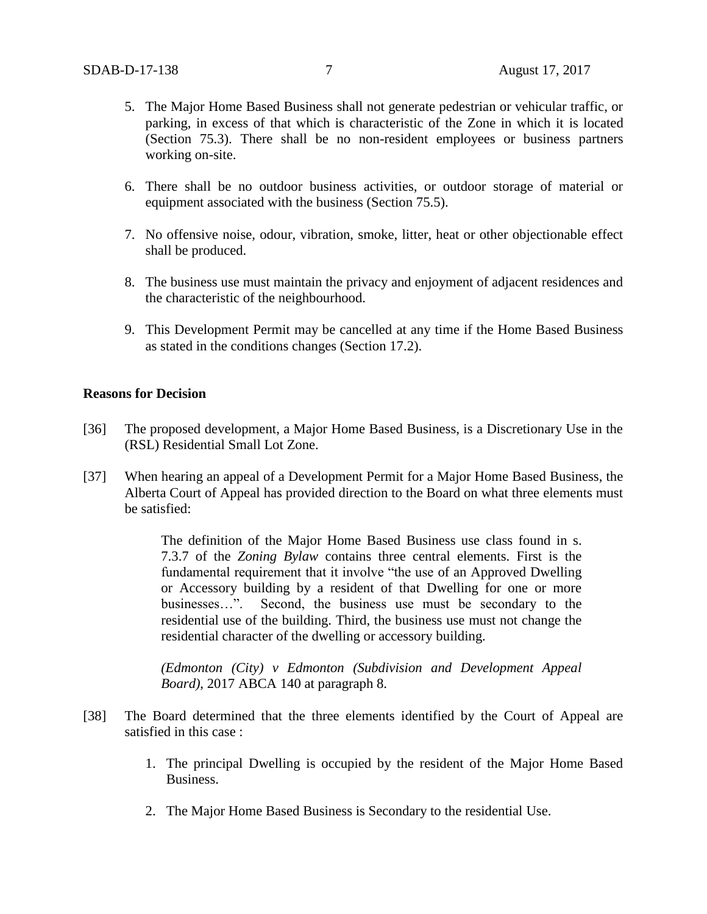- 5. The Major Home Based Business shall not generate pedestrian or vehicular traffic, or parking, in excess of that which is characteristic of the Zone in which it is located (Section 75.3). There shall be no non-resident employees or business partners working on-site.
- 6. There shall be no outdoor business activities, or outdoor storage of material or equipment associated with the business (Section 75.5).
- 7. No offensive noise, odour, vibration, smoke, litter, heat or other objectionable effect shall be produced.
- 8. The business use must maintain the privacy and enjoyment of adjacent residences and the characteristic of the neighbourhood.
- 9. This Development Permit may be cancelled at any time if the Home Based Business as stated in the conditions changes (Section 17.2).

### **Reasons for Decision**

- [36] The proposed development, a Major Home Based Business, is a Discretionary Use in the (RSL) Residential Small Lot Zone.
- [37] When hearing an appeal of a Development Permit for a Major Home Based Business, the Alberta Court of Appeal has provided direction to the Board on what three elements must be satisfied:

The definition of the Major Home Based Business use class found in s. 7.3.7 of the *Zoning Bylaw* contains three central elements. First is the fundamental requirement that it involve "the use of an Approved Dwelling or Accessory building by a resident of that Dwelling for one or more businesses…". Second, the business use must be secondary to the residential use of the building. Third, the business use must not change the residential character of the dwelling or accessory building.

*(Edmonton (City) v Edmonton (Subdivision and Development Appeal Board)*, 2017 ABCA 140 at paragraph 8.

- [38] The Board determined that the three elements identified by the Court of Appeal are satisfied in this case :
	- 1. The principal Dwelling is occupied by the resident of the Major Home Based Business.
	- 2. The Major Home Based Business is Secondary to the residential Use.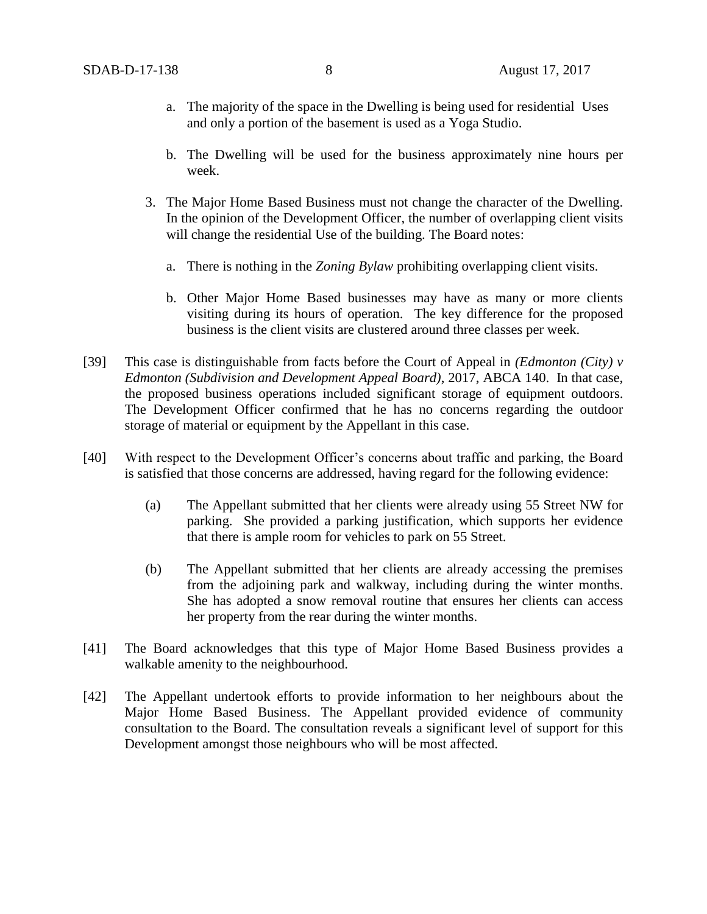- a. The majority of the space in the Dwelling is being used for residential Uses and only a portion of the basement is used as a Yoga Studio.
- b. The Dwelling will be used for the business approximately nine hours per week.
- 3. The Major Home Based Business must not change the character of the Dwelling. In the opinion of the Development Officer, the number of overlapping client visits will change the residential Use of the building. The Board notes:
	- a. There is nothing in the *Zoning Bylaw* prohibiting overlapping client visits.
	- b. Other Major Home Based businesses may have as many or more clients visiting during its hours of operation. The key difference for the proposed business is the client visits are clustered around three classes per week.
- [39] This case is distinguishable from facts before the Court of Appeal in *(Edmonton (City) v Edmonton (Subdivision and Development Appeal Board)*, 2017, ABCA 140. In that case, the proposed business operations included significant storage of equipment outdoors. The Development Officer confirmed that he has no concerns regarding the outdoor storage of material or equipment by the Appellant in this case.
- [40] With respect to the Development Officer's concerns about traffic and parking, the Board is satisfied that those concerns are addressed, having regard for the following evidence:
	- (a) The Appellant submitted that her clients were already using 55 Street NW for parking. She provided a parking justification, which supports her evidence that there is ample room for vehicles to park on 55 Street.
	- (b) The Appellant submitted that her clients are already accessing the premises from the adjoining park and walkway, including during the winter months. She has adopted a snow removal routine that ensures her clients can access her property from the rear during the winter months.
- [41] The Board acknowledges that this type of Major Home Based Business provides a walkable amenity to the neighbourhood.
- [42] The Appellant undertook efforts to provide information to her neighbours about the Major Home Based Business. The Appellant provided evidence of community consultation to the Board. The consultation reveals a significant level of support for this Development amongst those neighbours who will be most affected.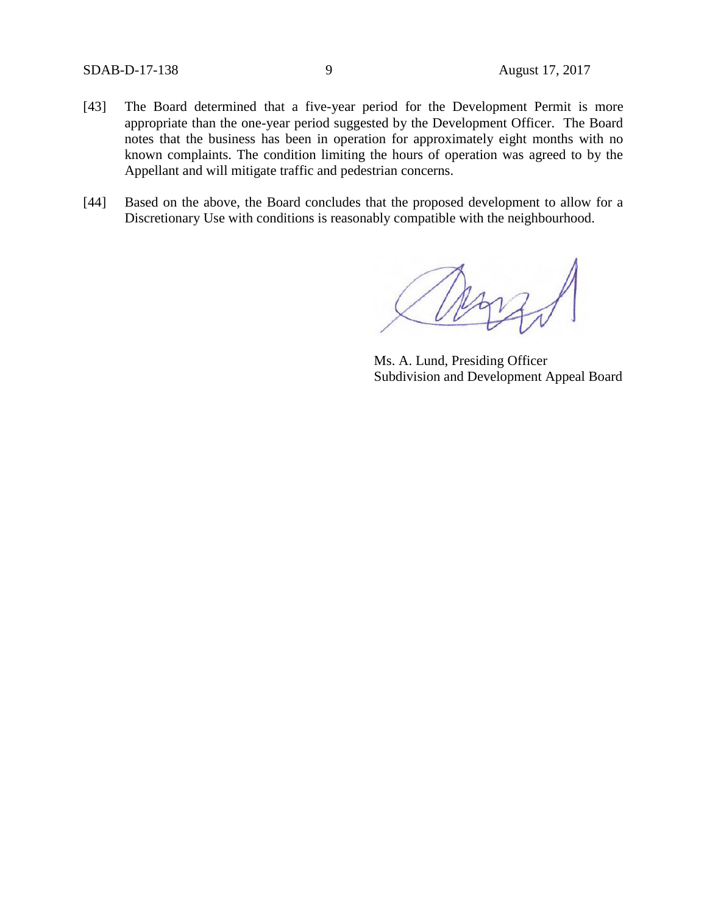- [43] The Board determined that a five-year period for the Development Permit is more appropriate than the one-year period suggested by the Development Officer. The Board notes that the business has been in operation for approximately eight months with no known complaints. The condition limiting the hours of operation was agreed to by the Appellant and will mitigate traffic and pedestrian concerns.
- [44] Based on the above, the Board concludes that the proposed development to allow for a Discretionary Use with conditions is reasonably compatible with the neighbourhood.

Ms. A. Lund, Presiding Officer Subdivision and Development Appeal Board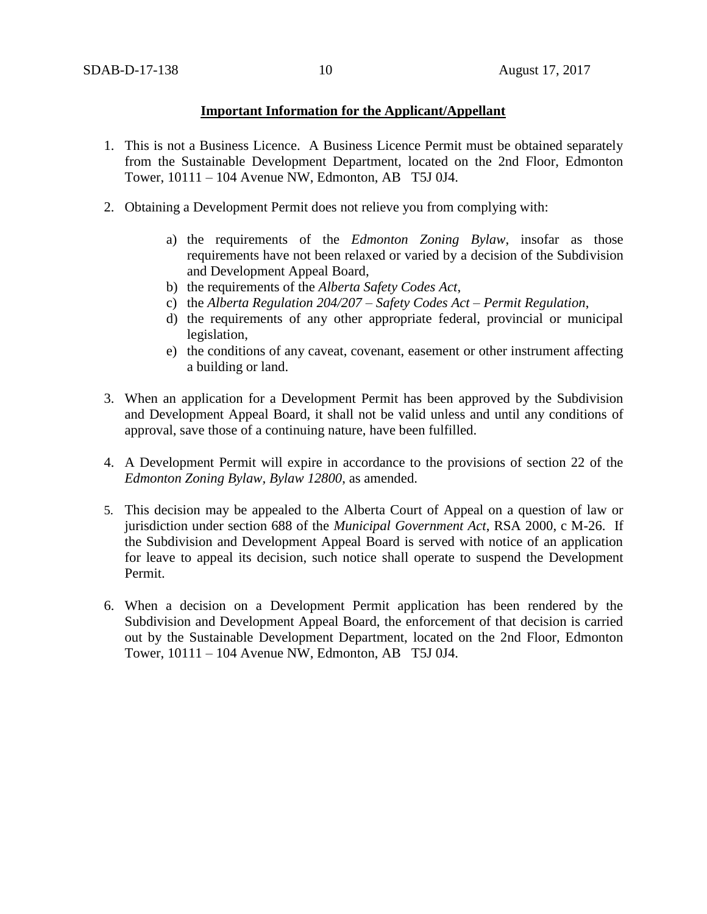## **Important Information for the Applicant/Appellant**

- 1. This is not a Business Licence. A Business Licence Permit must be obtained separately from the Sustainable Development Department, located on the 2nd Floor, Edmonton Tower, 10111 – 104 Avenue NW, Edmonton, AB T5J 0J4.
- 2. Obtaining a Development Permit does not relieve you from complying with:
	- a) the requirements of the *Edmonton Zoning Bylaw*, insofar as those requirements have not been relaxed or varied by a decision of the Subdivision and Development Appeal Board,
	- b) the requirements of the *Alberta Safety Codes Act*,
	- c) the *Alberta Regulation 204/207 – Safety Codes Act – Permit Regulation*,
	- d) the requirements of any other appropriate federal, provincial or municipal legislation,
	- e) the conditions of any caveat, covenant, easement or other instrument affecting a building or land.
- 3. When an application for a Development Permit has been approved by the Subdivision and Development Appeal Board, it shall not be valid unless and until any conditions of approval, save those of a continuing nature, have been fulfilled.
- 4. A Development Permit will expire in accordance to the provisions of section 22 of the *Edmonton Zoning Bylaw, Bylaw 12800*, as amended.
- 5. This decision may be appealed to the Alberta Court of Appeal on a question of law or jurisdiction under section 688 of the *Municipal Government Act*, RSA 2000, c M-26. If the Subdivision and Development Appeal Board is served with notice of an application for leave to appeal its decision, such notice shall operate to suspend the Development Permit.
- 6. When a decision on a Development Permit application has been rendered by the Subdivision and Development Appeal Board, the enforcement of that decision is carried out by the Sustainable Development Department, located on the 2nd Floor, Edmonton Tower, 10111 – 104 Avenue NW, Edmonton, AB T5J 0J4.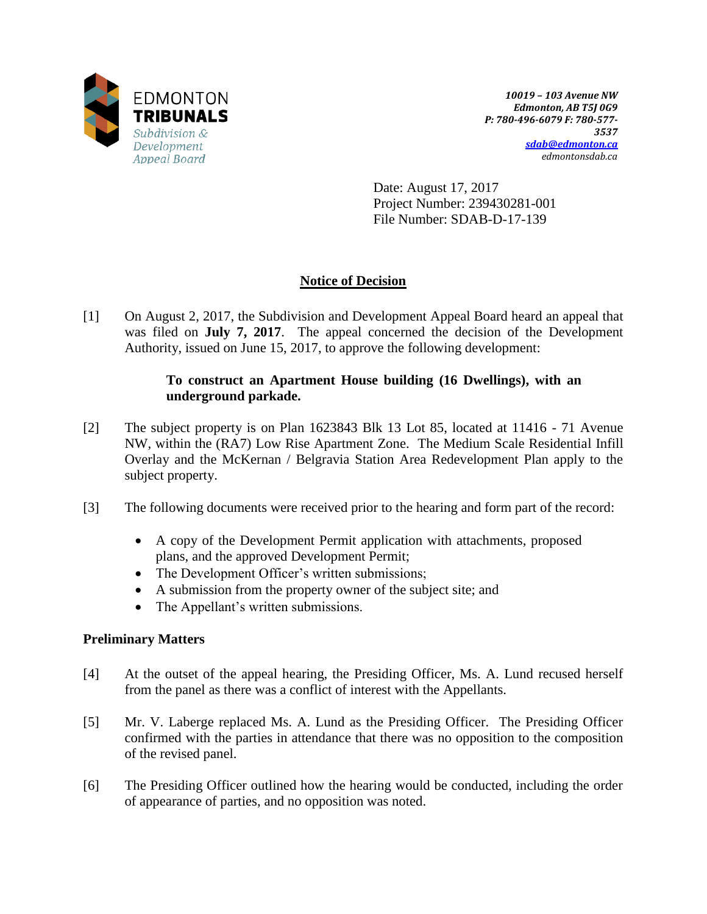

*10019 – 103 Avenue NW Edmonton, AB T5J 0G9 P: 780-496-6079 F: 780-577- 3537 [sdab@edmonton.ca](mailto:sdab@edmonton.ca) edmontonsdab.ca*

Date: August 17, 2017 Project Number: 239430281-001 File Number: SDAB-D-17-139

# **Notice of Decision**

[1] On August 2, 2017, the Subdivision and Development Appeal Board heard an appeal that was filed on **July 7, 2017**. The appeal concerned the decision of the Development Authority, issued on June 15, 2017, to approve the following development:

## **To construct an Apartment House building (16 Dwellings), with an underground parkade.**

- [2] The subject property is on Plan 1623843 Blk 13 Lot 85, located at 11416 71 Avenue NW, within the (RA7) Low Rise Apartment Zone. The Medium Scale Residential Infill Overlay and the McKernan / Belgravia Station Area Redevelopment Plan apply to the subject property.
- [3] The following documents were received prior to the hearing and form part of the record:
	- A copy of the Development Permit application with attachments, proposed plans, and the approved Development Permit;
	- The Development Officer's written submissions;
	- A submission from the property owner of the subject site; and
	- The Appellant's written submissions.

# **Preliminary Matters**

- [4] At the outset of the appeal hearing, the Presiding Officer, Ms. A. Lund recused herself from the panel as there was a conflict of interest with the Appellants.
- [5] Mr. V. Laberge replaced Ms. A. Lund as the Presiding Officer. The Presiding Officer confirmed with the parties in attendance that there was no opposition to the composition of the revised panel.
- [6] The Presiding Officer outlined how the hearing would be conducted, including the order of appearance of parties, and no opposition was noted.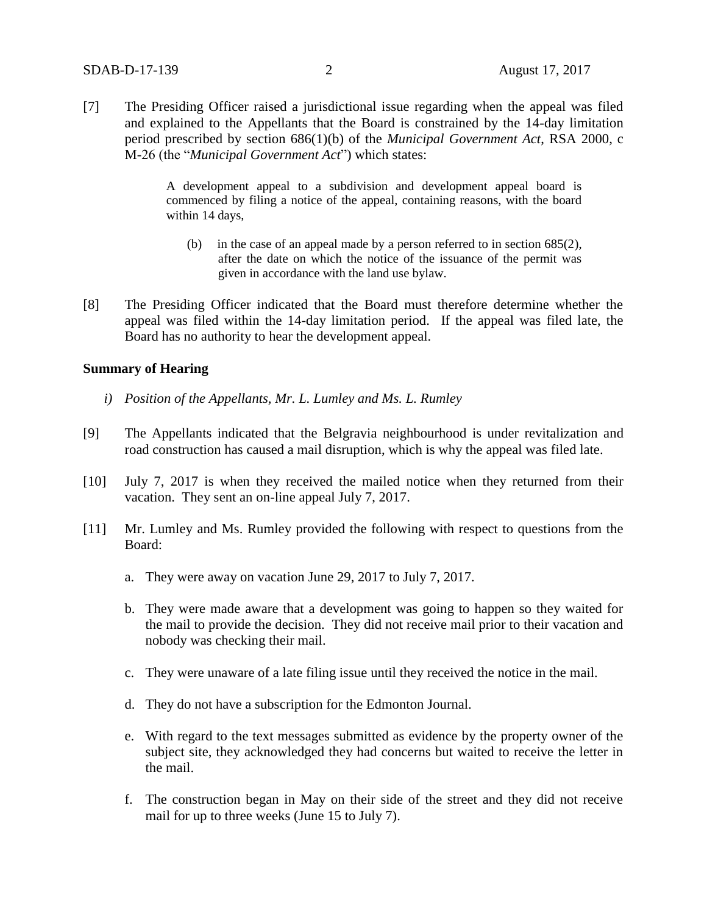[7] The Presiding Officer raised a jurisdictional issue regarding when the appeal was filed and explained to the Appellants that the Board is constrained by the 14-day limitation period prescribed by section 686(1)(b) of the *Municipal Government Act*, RSA 2000, c M-26 (the "*Municipal Government Act*") which states:

> A development appeal to a subdivision and development appeal board is commenced by filing a notice of the appeal, containing reasons, with the board within 14 days,

- (b) in the case of an appeal made by a person referred to in section 685(2), after the date on which the notice of the issuance of the permit was given in accordance with the land use bylaw.
- [8] The Presiding Officer indicated that the Board must therefore determine whether the appeal was filed within the 14-day limitation period. If the appeal was filed late, the Board has no authority to hear the development appeal.

#### **Summary of Hearing**

- *i) Position of the Appellants, Mr. L. Lumley and Ms. L. Rumley*
- [9] The Appellants indicated that the Belgravia neighbourhood is under revitalization and road construction has caused a mail disruption, which is why the appeal was filed late.
- [10] July 7, 2017 is when they received the mailed notice when they returned from their vacation. They sent an on-line appeal July 7, 2017.
- [11] Mr. Lumley and Ms. Rumley provided the following with respect to questions from the Board:
	- a. They were away on vacation June 29, 2017 to July 7, 2017.
	- b. They were made aware that a development was going to happen so they waited for the mail to provide the decision. They did not receive mail prior to their vacation and nobody was checking their mail.
	- c. They were unaware of a late filing issue until they received the notice in the mail.
	- d. They do not have a subscription for the Edmonton Journal.
	- e. With regard to the text messages submitted as evidence by the property owner of the subject site, they acknowledged they had concerns but waited to receive the letter in the mail.
	- f. The construction began in May on their side of the street and they did not receive mail for up to three weeks (June 15 to July 7).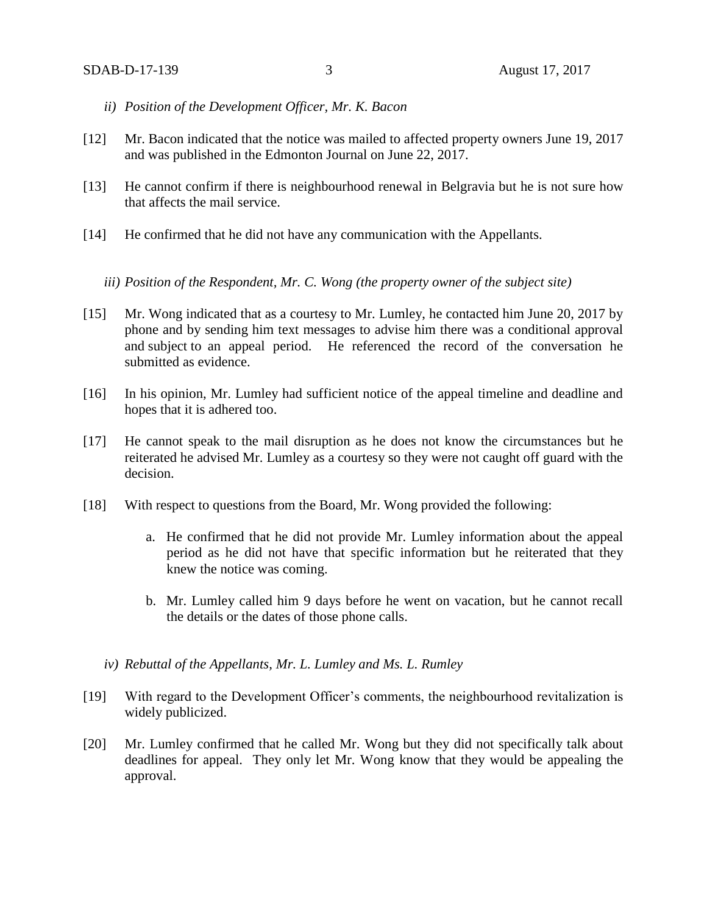- *ii) Position of the Development Officer, Mr. K. Bacon*
- [12] Mr. Bacon indicated that the notice was mailed to affected property owners June 19, 2017 and was published in the Edmonton Journal on June 22, 2017.
- [13] He cannot confirm if there is neighbourhood renewal in Belgravia but he is not sure how that affects the mail service.
- [14] He confirmed that he did not have any communication with the Appellants.
	- *iii) Position of the Respondent, Mr. C. Wong (the property owner of the subject site)*
- [15] Mr. Wong indicated that as a courtesy to Mr. Lumley, he contacted him June 20, 2017 by phone and by sending him text messages to advise him there was a conditional approval and subject to an appeal period. He referenced the record of the conversation he submitted as evidence.
- [16] In his opinion, Mr. Lumley had sufficient notice of the appeal timeline and deadline and hopes that it is adhered too.
- [17] He cannot speak to the mail disruption as he does not know the circumstances but he reiterated he advised Mr. Lumley as a courtesy so they were not caught off guard with the decision.
- [18] With respect to questions from the Board, Mr. Wong provided the following:
	- a. He confirmed that he did not provide Mr. Lumley information about the appeal period as he did not have that specific information but he reiterated that they knew the notice was coming.
	- b. Mr. Lumley called him 9 days before he went on vacation, but he cannot recall the details or the dates of those phone calls.
	- *iv) Rebuttal of the Appellants, Mr. L. Lumley and Ms. L. Rumley*
- [19] With regard to the Development Officer's comments, the neighbourhood revitalization is widely publicized.
- [20] Mr. Lumley confirmed that he called Mr. Wong but they did not specifically talk about deadlines for appeal. They only let Mr. Wong know that they would be appealing the approval.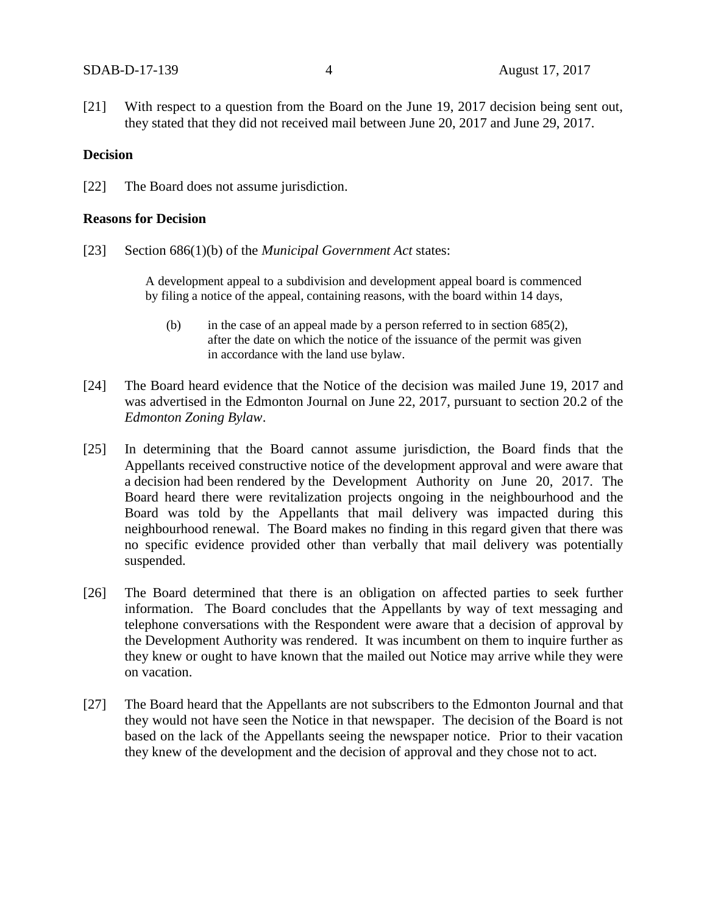[21] With respect to a question from the Board on the June 19, 2017 decision being sent out, they stated that they did not received mail between June 20, 2017 and June 29, 2017.

## **Decision**

[22] The Board does not assume jurisdiction.

#### **Reasons for Decision**

[23] Section 686(1)(b) of the *Municipal Government Act* states:

A development appeal to a subdivision and development appeal board is commenced by filing a notice of the appeal, containing reasons, with the board within 14 days,

- (b) in the case of an appeal made by a person referred to in section 685(2), after the date on which the notice of the issuance of the permit was given in accordance with the land use bylaw.
- [24] The Board heard evidence that the Notice of the decision was mailed June 19, 2017 and was advertised in the Edmonton Journal on June 22, 2017, pursuant to section 20.2 of the *Edmonton Zoning Bylaw*.
- [25] In determining that the Board cannot assume jurisdiction, the Board finds that the Appellants received constructive notice of the development approval and were aware that a decision had been rendered by the Development Authority on June 20, 2017. The Board heard there were revitalization projects ongoing in the neighbourhood and the Board was told by the Appellants that mail delivery was impacted during this neighbourhood renewal. The Board makes no finding in this regard given that there was no specific evidence provided other than verbally that mail delivery was potentially suspended.
- [26] The Board determined that there is an obligation on affected parties to seek further information. The Board concludes that the Appellants by way of text messaging and telephone conversations with the Respondent were aware that a decision of approval by the Development Authority was rendered. It was incumbent on them to inquire further as they knew or ought to have known that the mailed out Notice may arrive while they were on vacation.
- [27] The Board heard that the Appellants are not subscribers to the Edmonton Journal and that they would not have seen the Notice in that newspaper. The decision of the Board is not based on the lack of the Appellants seeing the newspaper notice. Prior to their vacation they knew of the development and the decision of approval and they chose not to act.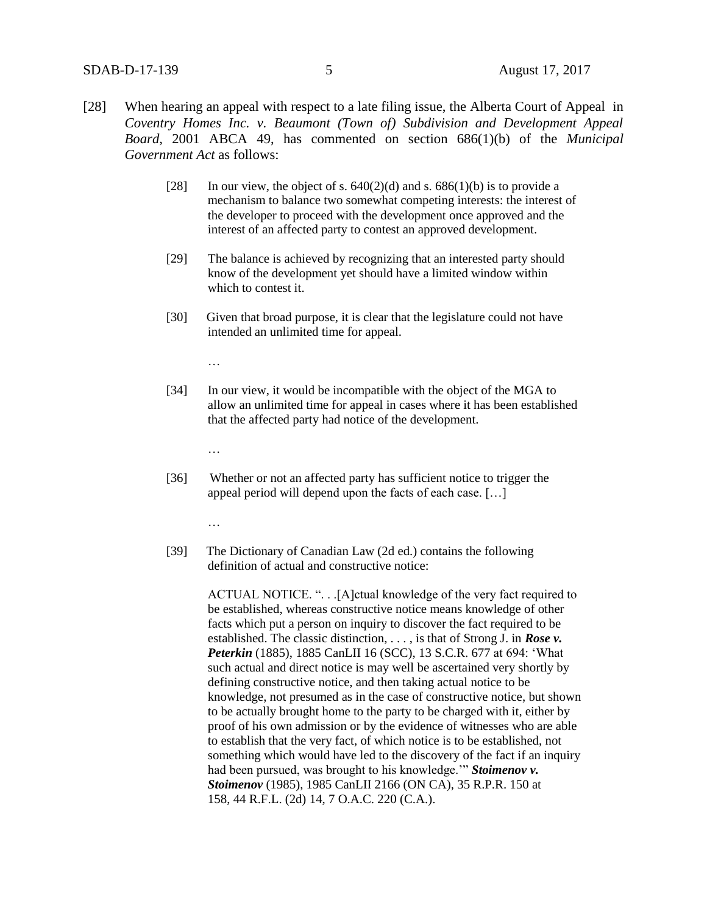- [28] When hearing an appeal with respect to a late filing issue, the Alberta Court of Appeal in *Coventry Homes Inc. v. Beaumont (Town of) Subdivision and Development Appeal Board*, 2001 ABCA 49, has commented on section 686(1)(b) of the *Municipal Government Act* as follows:
	- [28] In our view, the object of s.  $640(2)(d)$  and s.  $686(1)(b)$  is to provide a mechanism to balance two somewhat competing interests: the interest of the developer to proceed with the development once approved and the interest of an affected party to contest an approved development.
	- [29] The balance is achieved by recognizing that an interested party should know of the development yet should have a limited window within which to contest it.
	- [30] Given that broad purpose, it is clear that the legislature could not have intended an unlimited time for appeal.

…

[34] In our view, it would be incompatible with the object of the MGA to allow an unlimited time for appeal in cases where it has been established that the affected party had notice of the development.

…

[36] Whether or not an affected party has sufficient notice to trigger the appeal period will depend upon the facts of each case. […]

…

[39] The Dictionary of Canadian Law (2d ed.) contains the following definition of actual and constructive notice:

> ACTUAL NOTICE. ". . .[A]ctual knowledge of the very fact required to be established, whereas constructive notice means knowledge of other facts which put a person on inquiry to discover the fact required to be established. The classic distinction, . . . , is that of Strong J. in *Rose v. Peterkin* (1885), [1885 CanLII 16 \(SCC\),](https://www.canlii.org/en/ca/scc/doc/1885/1885canlii16/1885canlii16.html) 13 S.C.R. 677 at 694: 'What such actual and direct notice is may well be ascertained very shortly by defining constructive notice, and then taking actual notice to be knowledge, not presumed as in the case of constructive notice, but shown to be actually brought home to the party to be charged with it, either by proof of his own admission or by the evidence of witnesses who are able to establish that the very fact, of which notice is to be established, not something which would have led to the discovery of the fact if an inquiry had been pursued, was brought to his knowledge.'" *Stoimenov v. Stoimenov* (1985), [1985 CanLII 2166 \(ON CA\),](https://www.canlii.org/en/on/onca/doc/1985/1985canlii2166/1985canlii2166.html) 35 R.P.R. 150 at 158, 44 R.F.L. (2d) 14, 7 O.A.C. 220 (C.A.).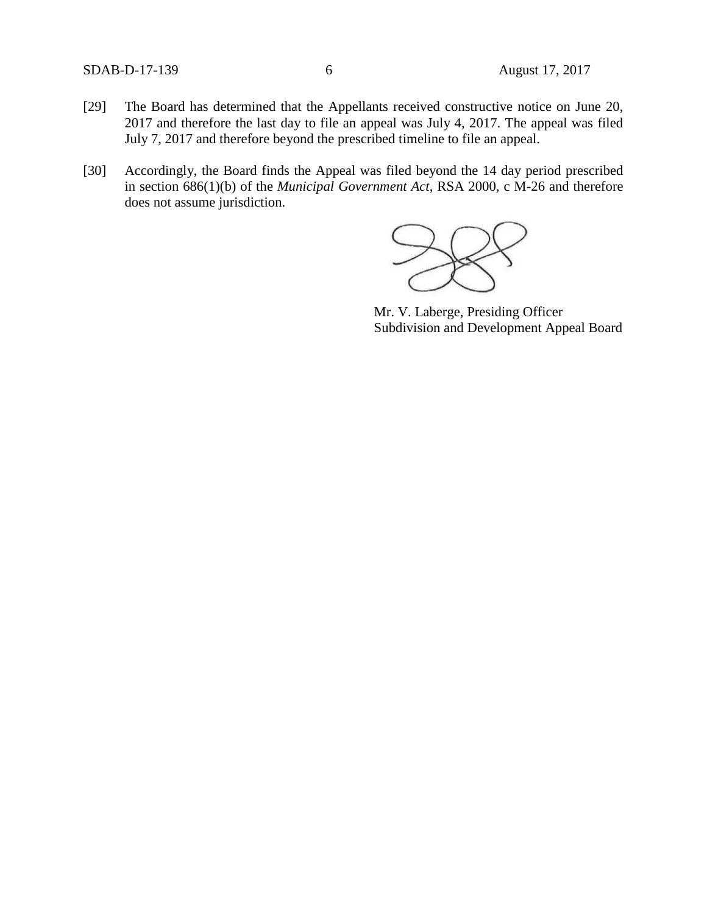- [29] The Board has determined that the Appellants received constructive notice on June 20, 2017 and therefore the last day to file an appeal was July 4, 2017. The appeal was filed July 7, 2017 and therefore beyond the prescribed timeline to file an appeal.
- [30] Accordingly, the Board finds the Appeal was filed beyond the 14 day period prescribed in section 686(1)(b) of the *Municipal Government Act*, RSA 2000, c M-26 and therefore does not assume jurisdiction.



Mr. V. Laberge, Presiding Officer Subdivision and Development Appeal Board